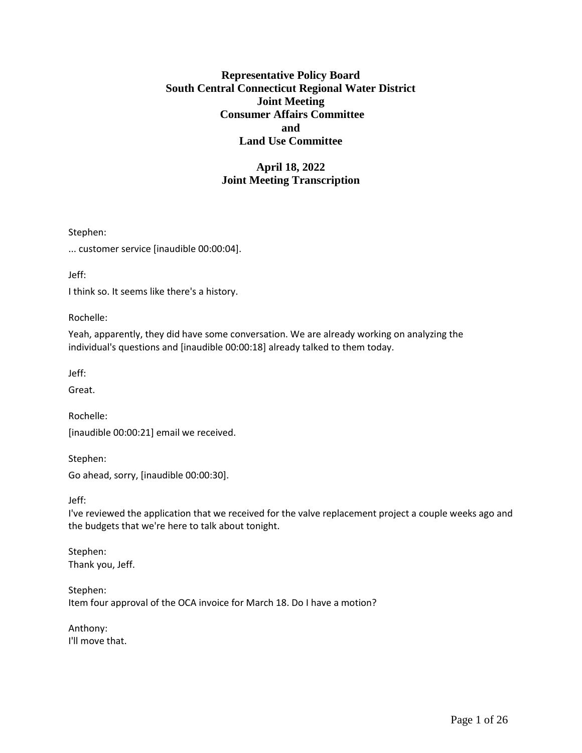# **Representative Policy Board South Central Connecticut Regional Water District Joint Meeting Consumer Affairs Committee and Land Use Committee**

# **April 18, 2022 Joint Meeting Transcription**

Stephen:

... customer service [inaudible 00:00:04].

Jeff:

I think so. It seems like there's a history.

Rochelle:

Yeah, apparently, they did have some conversation. We are already working on analyzing the individual's questions and [inaudible 00:00:18] already talked to them today.

Jeff:

Great.

Rochelle: [inaudible 00:00:21] email we received.

Stephen: Go ahead, sorry, [inaudible 00:00:30].

Jeff:

I've reviewed the application that we received for the valve replacement project a couple weeks ago and the budgets that we're here to talk about tonight.

Stephen: Thank you, Jeff.

Stephen: Item four approval of the OCA invoice for March 18. Do I have a motion?

Anthony: I'll move that.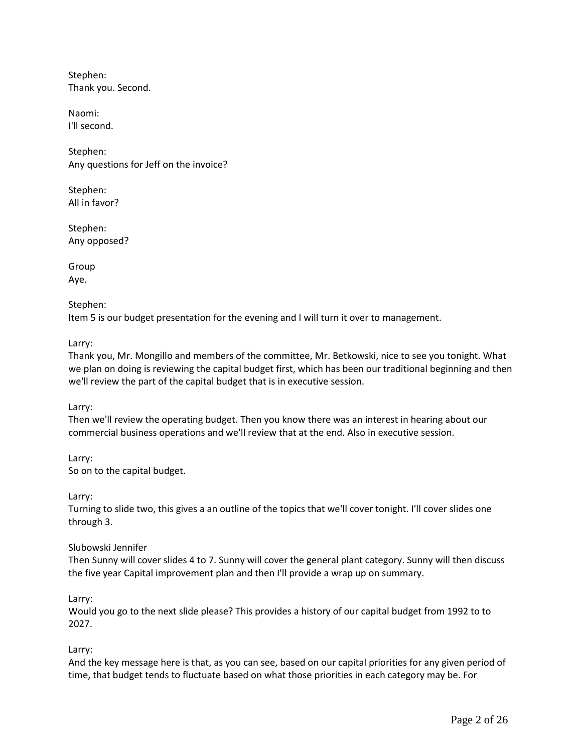Stephen: Thank you. Second.

Naomi: I'll second.

Stephen: Any questions for Jeff on the invoice?

Stephen: All in favor?

Stephen: Any opposed?

Group Aye.

Stephen:

Item 5 is our budget presentation for the evening and I will turn it over to management.

Larry:

Thank you, Mr. Mongillo and members of the committee, Mr. Betkowski, nice to see you tonight. What we plan on doing is reviewing the capital budget first, which has been our traditional beginning and then we'll review the part of the capital budget that is in executive session.

Larry:

Then we'll review the operating budget. Then you know there was an interest in hearing about our commercial business operations and we'll review that at the end. Also in executive session.

Larry: So on to the capital budget.

Larry:

Turning to slide two, this gives a an outline of the topics that we'll cover tonight. I'll cover slides one through 3.

# Slubowski Jennifer

Then Sunny will cover slides 4 to 7. Sunny will cover the general plant category. Sunny will then discuss the five year Capital improvement plan and then I'll provide a wrap up on summary.

# Larry:

Would you go to the next slide please? This provides a history of our capital budget from 1992 to to 2027.

Larry:

And the key message here is that, as you can see, based on our capital priorities for any given period of time, that budget tends to fluctuate based on what those priorities in each category may be. For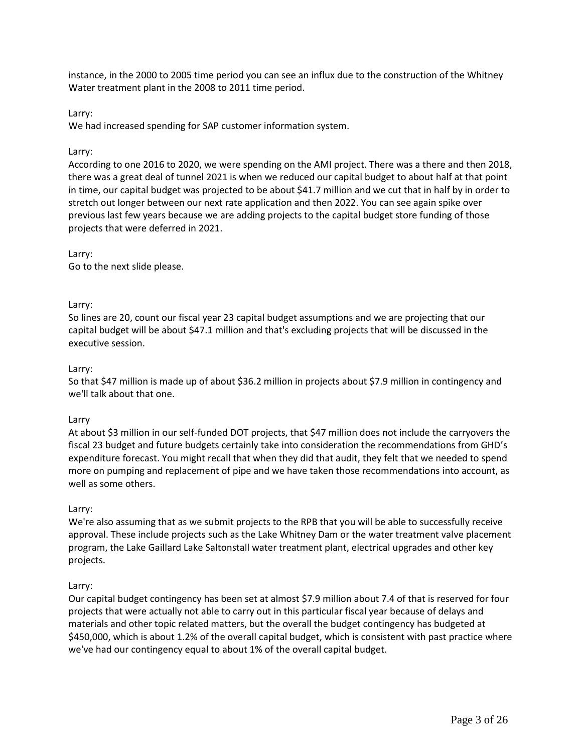instance, in the 2000 to 2005 time period you can see an influx due to the construction of the Whitney Water treatment plant in the 2008 to 2011 time period.

Larry:

We had increased spending for SAP customer information system.

#### Larry:

According to one 2016 to 2020, we were spending on the AMI project. There was a there and then 2018, there was a great deal of tunnel 2021 is when we reduced our capital budget to about half at that point in time, our capital budget was projected to be about \$41.7 million and we cut that in half by in order to stretch out longer between our next rate application and then 2022. You can see again spike over previous last few years because we are adding projects to the capital budget store funding of those projects that were deferred in 2021.

### Larry:

Go to the next slide please.

#### Larry:

So lines are 20, count our fiscal year 23 capital budget assumptions and we are projecting that our capital budget will be about \$47.1 million and that's excluding projects that will be discussed in the executive session.

#### Larry:

So that \$47 million is made up of about \$36.2 million in projects about \$7.9 million in contingency and we'll talk about that one.

#### Larry

At about \$3 million in our self-funded DOT projects, that \$47 million does not include the carryovers the fiscal 23 budget and future budgets certainly take into consideration the recommendations from GHD's expenditure forecast. You might recall that when they did that audit, they felt that we needed to spend more on pumping and replacement of pipe and we have taken those recommendations into account, as well as some others.

#### Larry:

We're also assuming that as we submit projects to the RPB that you will be able to successfully receive approval. These include projects such as the Lake Whitney Dam or the water treatment valve placement program, the Lake Gaillard Lake Saltonstall water treatment plant, electrical upgrades and other key projects.

### Larry:

Our capital budget contingency has been set at almost \$7.9 million about 7.4 of that is reserved for four projects that were actually not able to carry out in this particular fiscal year because of delays and materials and other topic related matters, but the overall the budget contingency has budgeted at \$450,000, which is about 1.2% of the overall capital budget, which is consistent with past practice where we've had our contingency equal to about 1% of the overall capital budget.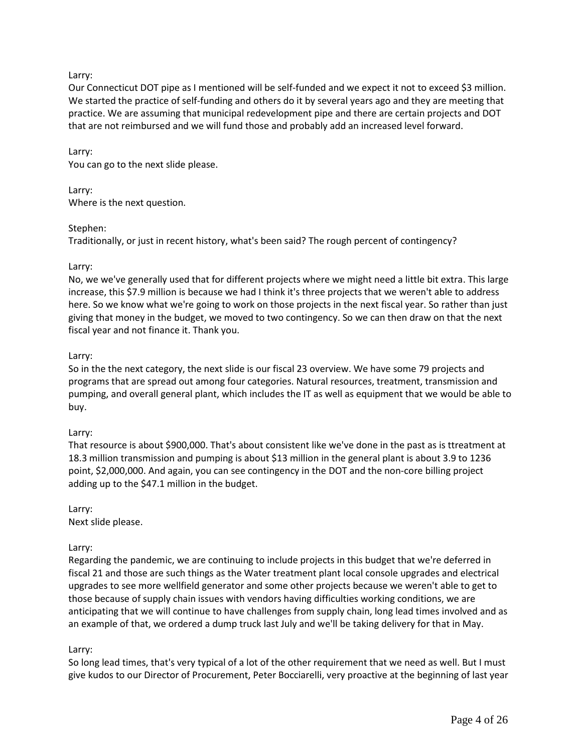### Larry:

Our Connecticut DOT pipe as I mentioned will be self-funded and we expect it not to exceed \$3 million. We started the practice of self-funding and others do it by several years ago and they are meeting that practice. We are assuming that municipal redevelopment pipe and there are certain projects and DOT that are not reimbursed and we will fund those and probably add an increased level forward.

#### Larry:

You can go to the next slide please.

#### Larry:

Where is the next question.

#### Stephen:

Traditionally, or just in recent history, what's been said? The rough percent of contingency?

#### Larry:

No, we we've generally used that for different projects where we might need a little bit extra. This large increase, this \$7.9 million is because we had I think it's three projects that we weren't able to address here. So we know what we're going to work on those projects in the next fiscal year. So rather than just giving that money in the budget, we moved to two contingency. So we can then draw on that the next fiscal year and not finance it. Thank you.

#### Larry:

So in the the next category, the next slide is our fiscal 23 overview. We have some 79 projects and programs that are spread out among four categories. Natural resources, treatment, transmission and pumping, and overall general plant, which includes the IT as well as equipment that we would be able to buy.

#### Larry:

That resource is about \$900,000. That's about consistent like we've done in the past as is ttreatment at 18.3 million transmission and pumping is about \$13 million in the general plant is about 3.9 to 1236 point, \$2,000,000. And again, you can see contingency in the DOT and the non-core billing project adding up to the \$47.1 million in the budget.

### Larry:

Next slide please.

#### Larry:

Regarding the pandemic, we are continuing to include projects in this budget that we're deferred in fiscal 21 and those are such things as the Water treatment plant local console upgrades and electrical upgrades to see more wellfield generator and some other projects because we weren't able to get to those because of supply chain issues with vendors having difficulties working conditions, we are anticipating that we will continue to have challenges from supply chain, long lead times involved and as an example of that, we ordered a dump truck last July and we'll be taking delivery for that in May.

#### Larry:

So long lead times, that's very typical of a lot of the other requirement that we need as well. But I must give kudos to our Director of Procurement, Peter Bocciarelli, very proactive at the beginning of last year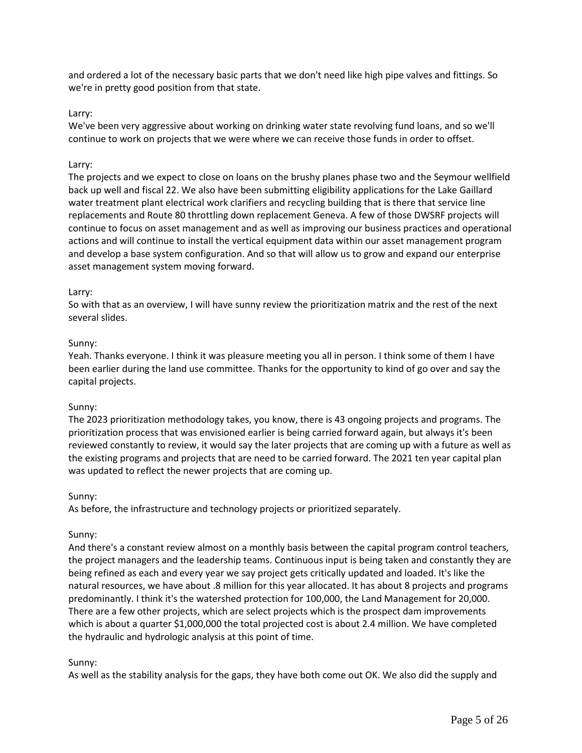and ordered a lot of the necessary basic parts that we don't need like high pipe valves and fittings. So we're in pretty good position from that state.

#### Larry:

We've been very aggressive about working on drinking water state revolving fund loans, and so we'll continue to work on projects that we were where we can receive those funds in order to offset.

#### Larry:

The projects and we expect to close on loans on the brushy planes phase two and the Seymour wellfield back up well and fiscal 22. We also have been submitting eligibility applications for the Lake Gaillard water treatment plant electrical work clarifiers and recycling building that is there that service line replacements and Route 80 throttling down replacement Geneva. A few of those DWSRF projects will continue to focus on asset management and as well as improving our business practices and operational actions and will continue to install the vertical equipment data within our asset management program and develop a base system configuration. And so that will allow us to grow and expand our enterprise asset management system moving forward.

#### Larry:

So with that as an overview, I will have sunny review the prioritization matrix and the rest of the next several slides.

#### Sunny:

Yeah. Thanks everyone. I think it was pleasure meeting you all in person. I think some of them I have been earlier during the land use committee. Thanks for the opportunity to kind of go over and say the capital projects.

#### Sunny:

The 2023 prioritization methodology takes, you know, there is 43 ongoing projects and programs. The prioritization process that was envisioned earlier is being carried forward again, but always it's been reviewed constantly to review, it would say the later projects that are coming up with a future as well as the existing programs and projects that are need to be carried forward. The 2021 ten year capital plan was updated to reflect the newer projects that are coming up.

#### Sunny:

As before, the infrastructure and technology projects or prioritized separately.

#### Sunny:

And there's a constant review almost on a monthly basis between the capital program control teachers, the project managers and the leadership teams. Continuous input is being taken and constantly they are being refined as each and every year we say project gets critically updated and loaded. It's like the natural resources, we have about .8 million for this year allocated. It has about 8 projects and programs predominantly. I think it's the watershed protection for 100,000, the Land Management for 20,000. There are a few other projects, which are select projects which is the prospect dam improvements which is about a quarter \$1,000,000 the total projected cost is about 2.4 million. We have completed the hydraulic and hydrologic analysis at this point of time.

#### Sunny:

As well as the stability analysis for the gaps, they have both come out OK. We also did the supply and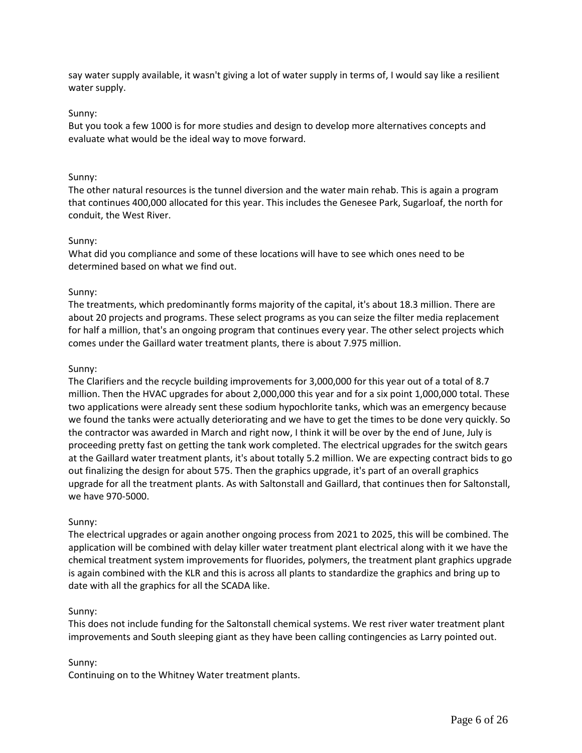say water supply available, it wasn't giving a lot of water supply in terms of, I would say like a resilient water supply.

#### Sunny:

But you took a few 1000 is for more studies and design to develop more alternatives concepts and evaluate what would be the ideal way to move forward.

#### Sunny:

The other natural resources is the tunnel diversion and the water main rehab. This is again a program that continues 400,000 allocated for this year. This includes the Genesee Park, Sugarloaf, the north for conduit, the West River.

#### Sunny:

What did you compliance and some of these locations will have to see which ones need to be determined based on what we find out.

#### Sunny:

The treatments, which predominantly forms majority of the capital, it's about 18.3 million. There are about 20 projects and programs. These select programs as you can seize the filter media replacement for half a million, that's an ongoing program that continues every year. The other select projects which comes under the Gaillard water treatment plants, there is about 7.975 million.

#### Sunny:

The Clarifiers and the recycle building improvements for 3,000,000 for this year out of a total of 8.7 million. Then the HVAC upgrades for about 2,000,000 this year and for a six point 1,000,000 total. These two applications were already sent these sodium hypochlorite tanks, which was an emergency because we found the tanks were actually deteriorating and we have to get the times to be done very quickly. So the contractor was awarded in March and right now, I think it will be over by the end of June, July is proceeding pretty fast on getting the tank work completed. The electrical upgrades for the switch gears at the Gaillard water treatment plants, it's about totally 5.2 million. We are expecting contract bids to go out finalizing the design for about 575. Then the graphics upgrade, it's part of an overall graphics upgrade for all the treatment plants. As with Saltonstall and Gaillard, that continues then for Saltonstall, we have 970-5000.

#### Sunny:

The electrical upgrades or again another ongoing process from 2021 to 2025, this will be combined. The application will be combined with delay killer water treatment plant electrical along with it we have the chemical treatment system improvements for fluorides, polymers, the treatment plant graphics upgrade is again combined with the KLR and this is across all plants to standardize the graphics and bring up to date with all the graphics for all the SCADA like.

#### Sunny:

This does not include funding for the Saltonstall chemical systems. We rest river water treatment plant improvements and South sleeping giant as they have been calling contingencies as Larry pointed out.

#### Sunny:

Continuing on to the Whitney Water treatment plants.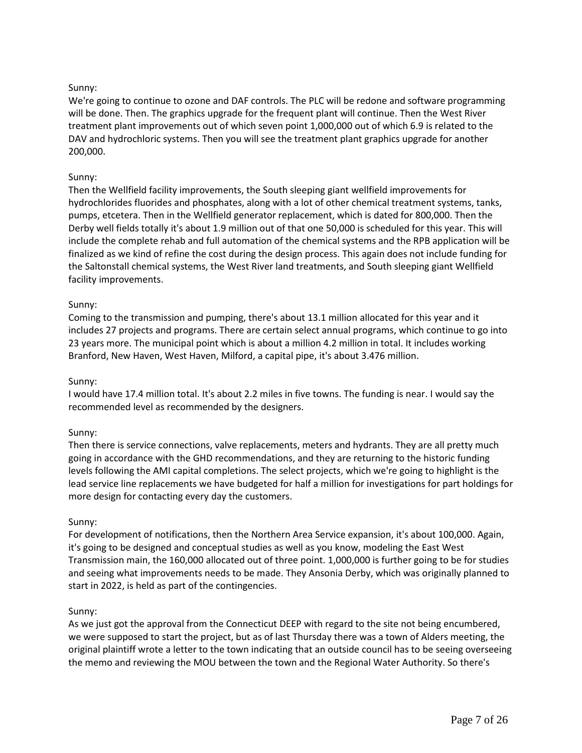# Sunny:

We're going to continue to ozone and DAF controls. The PLC will be redone and software programming will be done. Then. The graphics upgrade for the frequent plant will continue. Then the West River treatment plant improvements out of which seven point 1,000,000 out of which 6.9 is related to the DAV and hydrochloric systems. Then you will see the treatment plant graphics upgrade for another 200,000.

### Sunny:

Then the Wellfield facility improvements, the South sleeping giant wellfield improvements for hydrochlorides fluorides and phosphates, along with a lot of other chemical treatment systems, tanks, pumps, etcetera. Then in the Wellfield generator replacement, which is dated for 800,000. Then the Derby well fields totally it's about 1.9 million out of that one 50,000 is scheduled for this year. This will include the complete rehab and full automation of the chemical systems and the RPB application will be finalized as we kind of refine the cost during the design process. This again does not include funding for the Saltonstall chemical systems, the West River land treatments, and South sleeping giant Wellfield facility improvements.

#### Sunny:

Coming to the transmission and pumping, there's about 13.1 million allocated for this year and it includes 27 projects and programs. There are certain select annual programs, which continue to go into 23 years more. The municipal point which is about a million 4.2 million in total. It includes working Branford, New Haven, West Haven, Milford, a capital pipe, it's about 3.476 million.

#### Sunny:

I would have 17.4 million total. It's about 2.2 miles in five towns. The funding is near. I would say the recommended level as recommended by the designers.

#### Sunny:

Then there is service connections, valve replacements, meters and hydrants. They are all pretty much going in accordance with the GHD recommendations, and they are returning to the historic funding levels following the AMI capital completions. The select projects, which we're going to highlight is the lead service line replacements we have budgeted for half a million for investigations for part holdings for more design for contacting every day the customers.

#### Sunny:

For development of notifications, then the Northern Area Service expansion, it's about 100,000. Again, it's going to be designed and conceptual studies as well as you know, modeling the East West Transmission main, the 160,000 allocated out of three point. 1,000,000 is further going to be for studies and seeing what improvements needs to be made. They Ansonia Derby, which was originally planned to start in 2022, is held as part of the contingencies.

#### Sunny:

As we just got the approval from the Connecticut DEEP with regard to the site not being encumbered, we were supposed to start the project, but as of last Thursday there was a town of Alders meeting, the original plaintiff wrote a letter to the town indicating that an outside council has to be seeing overseeing the memo and reviewing the MOU between the town and the Regional Water Authority. So there's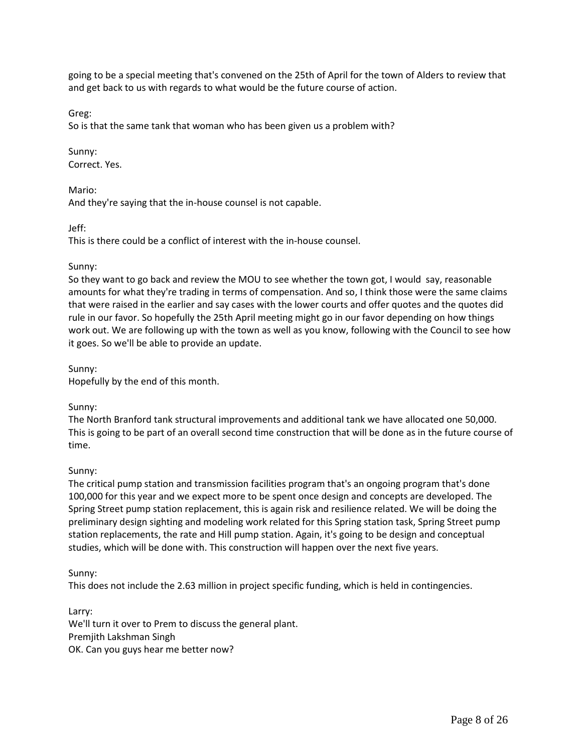going to be a special meeting that's convened on the 25th of April for the town of Alders to review that and get back to us with regards to what would be the future course of action.

Greg:

So is that the same tank that woman who has been given us a problem with?

Sunny: Correct. Yes.

Mario:

And they're saying that the in-house counsel is not capable.

Jeff:

This is there could be a conflict of interest with the in-house counsel.

#### Sunny:

So they want to go back and review the MOU to see whether the town got, I would say, reasonable amounts for what they're trading in terms of compensation. And so, I think those were the same claims that were raised in the earlier and say cases with the lower courts and offer quotes and the quotes did rule in our favor. So hopefully the 25th April meeting might go in our favor depending on how things work out. We are following up with the town as well as you know, following with the Council to see how it goes. So we'll be able to provide an update.

Sunny:

Hopefully by the end of this month.

### Sunny:

The North Branford tank structural improvements and additional tank we have allocated one 50,000. This is going to be part of an overall second time construction that will be done as in the future course of time.

### Sunny:

The critical pump station and transmission facilities program that's an ongoing program that's done 100,000 for this year and we expect more to be spent once design and concepts are developed. The Spring Street pump station replacement, this is again risk and resilience related. We will be doing the preliminary design sighting and modeling work related for this Spring station task, Spring Street pump station replacements, the rate and Hill pump station. Again, it's going to be design and conceptual studies, which will be done with. This construction will happen over the next five years.

Sunny:

This does not include the 2.63 million in project specific funding, which is held in contingencies.

Larry: We'll turn it over to Prem to discuss the general plant. Premjith Lakshman Singh OK. Can you guys hear me better now?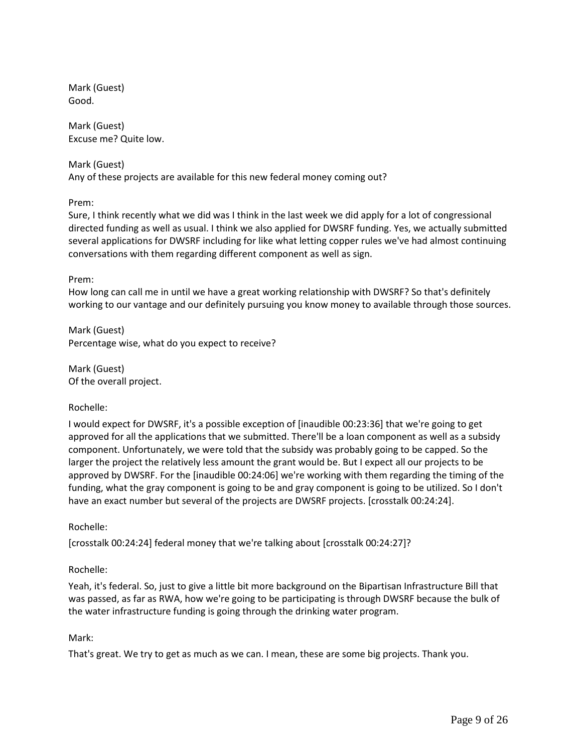Mark (Guest) Good.

Mark (Guest) Excuse me? Quite low.

Mark (Guest) Any of these projects are available for this new federal money coming out?

Prem:

Sure, I think recently what we did was I think in the last week we did apply for a lot of congressional directed funding as well as usual. I think we also applied for DWSRF funding. Yes, we actually submitted several applications for DWSRF including for like what letting copper rules we've had almost continuing conversations with them regarding different component as well as sign.

Prem:

How long can call me in until we have a great working relationship with DWSRF? So that's definitely working to our vantage and our definitely pursuing you know money to available through those sources.

Mark (Guest) Percentage wise, what do you expect to receive?

Mark (Guest) Of the overall project.

# Rochelle:

I would expect for DWSRF, it's a possible exception of [inaudible 00:23:36] that we're going to get approved for all the applications that we submitted. There'll be a loan component as well as a subsidy component. Unfortunately, we were told that the subsidy was probably going to be capped. So the larger the project the relatively less amount the grant would be. But I expect all our projects to be approved by DWSRF. For the [inaudible 00:24:06] we're working with them regarding the timing of the funding, what the gray component is going to be and gray component is going to be utilized. So I don't have an exact number but several of the projects are DWSRF projects. [crosstalk 00:24:24].

Rochelle:

[crosstalk 00:24:24] federal money that we're talking about [crosstalk 00:24:27]?

Rochelle:

Yeah, it's federal. So, just to give a little bit more background on the Bipartisan Infrastructure Bill that was passed, as far as RWA, how we're going to be participating is through DWSRF because the bulk of the water infrastructure funding is going through the drinking water program.

### Mark:

That's great. We try to get as much as we can. I mean, these are some big projects. Thank you.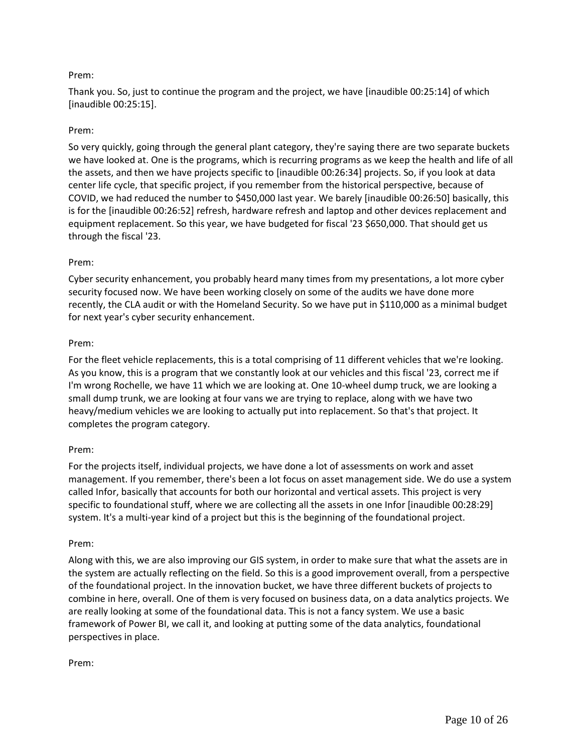# Prem:

Thank you. So, just to continue the program and the project, we have [inaudible 00:25:14] of which [inaudible 00:25:15].

### Prem:

So very quickly, going through the general plant category, they're saying there are two separate buckets we have looked at. One is the programs, which is recurring programs as we keep the health and life of all the assets, and then we have projects specific to [inaudible 00:26:34] projects. So, if you look at data center life cycle, that specific project, if you remember from the historical perspective, because of COVID, we had reduced the number to \$450,000 last year. We barely [inaudible 00:26:50] basically, this is for the [inaudible 00:26:52] refresh, hardware refresh and laptop and other devices replacement and equipment replacement. So this year, we have budgeted for fiscal '23 \$650,000. That should get us through the fiscal '23.

### Prem:

Cyber security enhancement, you probably heard many times from my presentations, a lot more cyber security focused now. We have been working closely on some of the audits we have done more recently, the CLA audit or with the Homeland Security. So we have put in \$110,000 as a minimal budget for next year's cyber security enhancement.

### Prem:

For the fleet vehicle replacements, this is a total comprising of 11 different vehicles that we're looking. As you know, this is a program that we constantly look at our vehicles and this fiscal '23, correct me if I'm wrong Rochelle, we have 11 which we are looking at. One 10-wheel dump truck, we are looking a small dump trunk, we are looking at four vans we are trying to replace, along with we have two heavy/medium vehicles we are looking to actually put into replacement. So that's that project. It completes the program category.

### Prem:

For the projects itself, individual projects, we have done a lot of assessments on work and asset management. If you remember, there's been a lot focus on asset management side. We do use a system called Infor, basically that accounts for both our horizontal and vertical assets. This project is very specific to foundational stuff, where we are collecting all the assets in one Infor [inaudible 00:28:29] system. It's a multi-year kind of a project but this is the beginning of the foundational project.

### Prem:

Along with this, we are also improving our GIS system, in order to make sure that what the assets are in the system are actually reflecting on the field. So this is a good improvement overall, from a perspective of the foundational project. In the innovation bucket, we have three different buckets of projects to combine in here, overall. One of them is very focused on business data, on a data analytics projects. We are really looking at some of the foundational data. This is not a fancy system. We use a basic framework of Power BI, we call it, and looking at putting some of the data analytics, foundational perspectives in place.

Prem: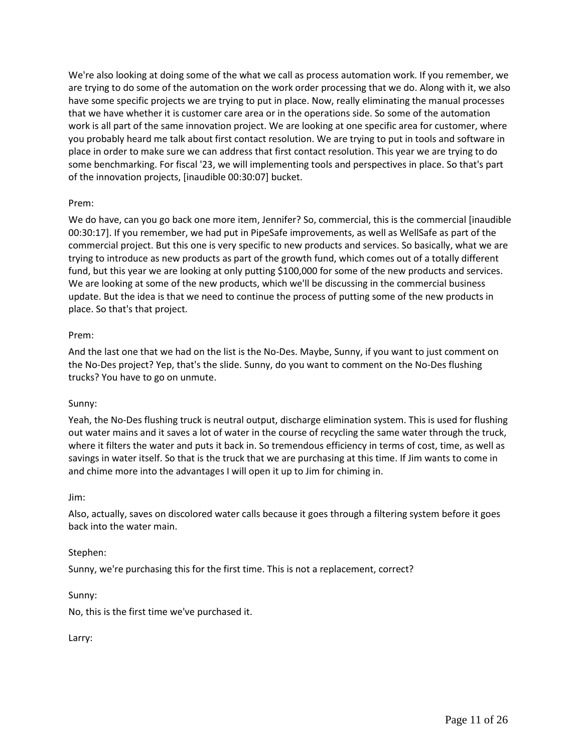We're also looking at doing some of the what we call as process automation work. If you remember, we are trying to do some of the automation on the work order processing that we do. Along with it, we also have some specific projects we are trying to put in place. Now, really eliminating the manual processes that we have whether it is customer care area or in the operations side. So some of the automation work is all part of the same innovation project. We are looking at one specific area for customer, where you probably heard me talk about first contact resolution. We are trying to put in tools and software in place in order to make sure we can address that first contact resolution. This year we are trying to do some benchmarking. For fiscal '23, we will implementing tools and perspectives in place. So that's part of the innovation projects, [inaudible 00:30:07] bucket.

### Prem:

We do have, can you go back one more item, Jennifer? So, commercial, this is the commercial [inaudible 00:30:17]. If you remember, we had put in PipeSafe improvements, as well as WellSafe as part of the commercial project. But this one is very specific to new products and services. So basically, what we are trying to introduce as new products as part of the growth fund, which comes out of a totally different fund, but this year we are looking at only putting \$100,000 for some of the new products and services. We are looking at some of the new products, which we'll be discussing in the commercial business update. But the idea is that we need to continue the process of putting some of the new products in place. So that's that project.

### Prem:

And the last one that we had on the list is the No-Des. Maybe, Sunny, if you want to just comment on the No-Des project? Yep, that's the slide. Sunny, do you want to comment on the No-Des flushing trucks? You have to go on unmute.

### Sunny:

Yeah, the No-Des flushing truck is neutral output, discharge elimination system. This is used for flushing out water mains and it saves a lot of water in the course of recycling the same water through the truck, where it filters the water and puts it back in. So tremendous efficiency in terms of cost, time, as well as savings in water itself. So that is the truck that we are purchasing at this time. If Jim wants to come in and chime more into the advantages I will open it up to Jim for chiming in.

### Jim:

Also, actually, saves on discolored water calls because it goes through a filtering system before it goes back into the water main.

### Stephen:

Sunny, we're purchasing this for the first time. This is not a replacement, correct?

### Sunny:

No, this is the first time we've purchased it.

### Larry: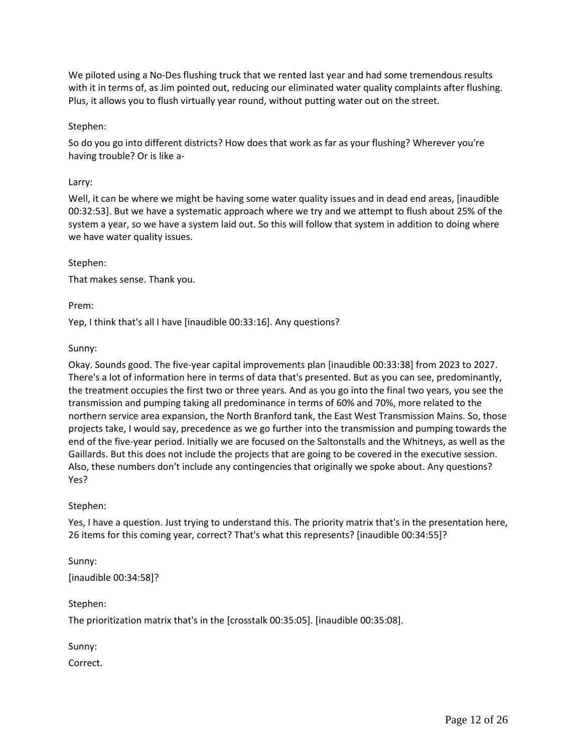We piloted using a No-Des flushing truck that we rented last year and had some tremendous results with it in terms of, as Jim pointed out, reducing our eliminated water quality complaints after flushing. Plus, it allows you to flush virtually year round, without putting water out on the street.

### Stephen:

So do you go into different districts? How does that work as far as your flushing? Wherever you're having trouble? Or is like a-

#### Larry:

Well, it can be where we might be having some water quality issues and in dead end areas, [inaudible 00:32:53]. But we have a systematic approach where we try and we attempt to flush about 25% of the system a year, so we have a system laid out. So this will follow that system in addition to doing where we have water quality issues.

#### Stephen:

That makes sense. Thank you.

Prem:

Yep, I think that's all I have [inaudible 00:33:16]. Any questions?

#### Sunny:

Okay. Sounds good. The five-year capital improvements plan [inaudible 00:33:38] from 2023 to 2027. There's a lot of information here in terms of data that's presented. But as you can see, predominantly, the treatment occupies the first two or three years. And as you go into the final two years, you see the transmission and pumping taking all predominance in terms of 60% and 70%, more related to the northern service area expansion, the North Branford tank, the East West Transmission Mains. So, those projects take, I would say, precedence as we go further into the transmission and pumping towards the end of the five-year period. Initially we are focused on the Saltonstalls and the Whitneys, as well as the Gaillards. But this does not include the projects that are going to be covered in the executive session. Also, these numbers don't include any contingencies that originally we spoke about. Any questions? Yes?

#### Stephen:

Yes, I have a question. Just trying to understand this. The priority matrix that's in the presentation here, 26 items for this coming year, correct? That's what this represents? [inaudible 00:34:55]?

Sunny: [inaudible 00:34:58]?

Stephen:

The prioritization matrix that's in the [crosstalk 00:35:05]. [inaudible 00:35:08].

Sunny:

Correct.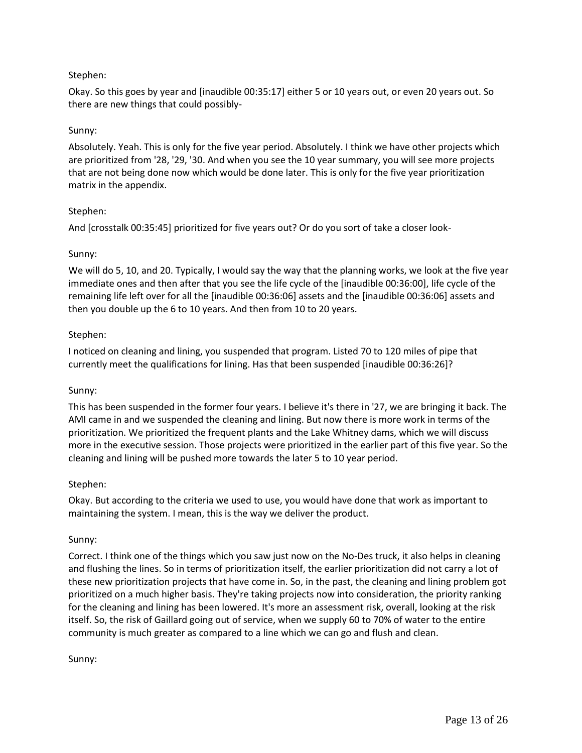# Stephen:

Okay. So this goes by year and [inaudible 00:35:17] either 5 or 10 years out, or even 20 years out. So there are new things that could possibly-

## Sunny:

Absolutely. Yeah. This is only for the five year period. Absolutely. I think we have other projects which are prioritized from '28, '29, '30. And when you see the 10 year summary, you will see more projects that are not being done now which would be done later. This is only for the five year prioritization matrix in the appendix.

### Stephen:

And [crosstalk 00:35:45] prioritized for five years out? Or do you sort of take a closer look-

### Sunny:

We will do 5, 10, and 20. Typically, I would say the way that the planning works, we look at the five year immediate ones and then after that you see the life cycle of the [inaudible 00:36:00], life cycle of the remaining life left over for all the [inaudible 00:36:06] assets and the [inaudible 00:36:06] assets and then you double up the 6 to 10 years. And then from 10 to 20 years.

# Stephen:

I noticed on cleaning and lining, you suspended that program. Listed 70 to 120 miles of pipe that currently meet the qualifications for lining. Has that been suspended [inaudible 00:36:26]?

### Sunny:

This has been suspended in the former four years. I believe it's there in '27, we are bringing it back. The AMI came in and we suspended the cleaning and lining. But now there is more work in terms of the prioritization. We prioritized the frequent plants and the Lake Whitney dams, which we will discuss more in the executive session. Those projects were prioritized in the earlier part of this five year. So the cleaning and lining will be pushed more towards the later 5 to 10 year period.

### Stephen:

Okay. But according to the criteria we used to use, you would have done that work as important to maintaining the system. I mean, this is the way we deliver the product.

### Sunny:

Correct. I think one of the things which you saw just now on the No-Des truck, it also helps in cleaning and flushing the lines. So in terms of prioritization itself, the earlier prioritization did not carry a lot of these new prioritization projects that have come in. So, in the past, the cleaning and lining problem got prioritized on a much higher basis. They're taking projects now into consideration, the priority ranking for the cleaning and lining has been lowered. It's more an assessment risk, overall, looking at the risk itself. So, the risk of Gaillard going out of service, when we supply 60 to 70% of water to the entire community is much greater as compared to a line which we can go and flush and clean.

Sunny: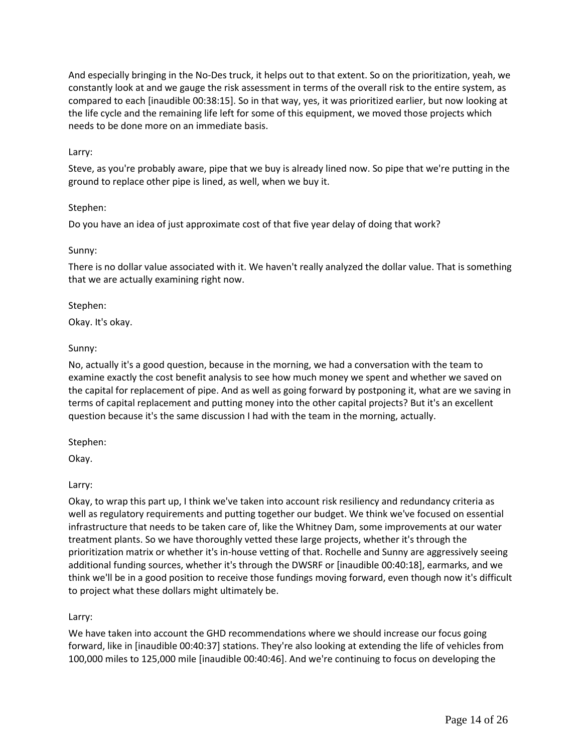And especially bringing in the No-Des truck, it helps out to that extent. So on the prioritization, yeah, we constantly look at and we gauge the risk assessment in terms of the overall risk to the entire system, as compared to each [inaudible 00:38:15]. So in that way, yes, it was prioritized earlier, but now looking at the life cycle and the remaining life left for some of this equipment, we moved those projects which needs to be done more on an immediate basis.

## Larry:

Steve, as you're probably aware, pipe that we buy is already lined now. So pipe that we're putting in the ground to replace other pipe is lined, as well, when we buy it.

### Stephen:

Do you have an idea of just approximate cost of that five year delay of doing that work?

# Sunny:

There is no dollar value associated with it. We haven't really analyzed the dollar value. That is something that we are actually examining right now.

# Stephen:

Okay. It's okay.

# Sunny:

No, actually it's a good question, because in the morning, we had a conversation with the team to examine exactly the cost benefit analysis to see how much money we spent and whether we saved on the capital for replacement of pipe. And as well as going forward by postponing it, what are we saving in terms of capital replacement and putting money into the other capital projects? But it's an excellent question because it's the same discussion I had with the team in the morning, actually.

### Stephen:

Okay.

### Larry:

Okay, to wrap this part up, I think we've taken into account risk resiliency and redundancy criteria as well as regulatory requirements and putting together our budget. We think we've focused on essential infrastructure that needs to be taken care of, like the Whitney Dam, some improvements at our water treatment plants. So we have thoroughly vetted these large projects, whether it's through the prioritization matrix or whether it's in-house vetting of that. Rochelle and Sunny are aggressively seeing additional funding sources, whether it's through the DWSRF or [inaudible 00:40:18], earmarks, and we think we'll be in a good position to receive those fundings moving forward, even though now it's difficult to project what these dollars might ultimately be.

# Larry:

We have taken into account the GHD recommendations where we should increase our focus going forward, like in [inaudible 00:40:37] stations. They're also looking at extending the life of vehicles from 100,000 miles to 125,000 mile [inaudible 00:40:46]. And we're continuing to focus on developing the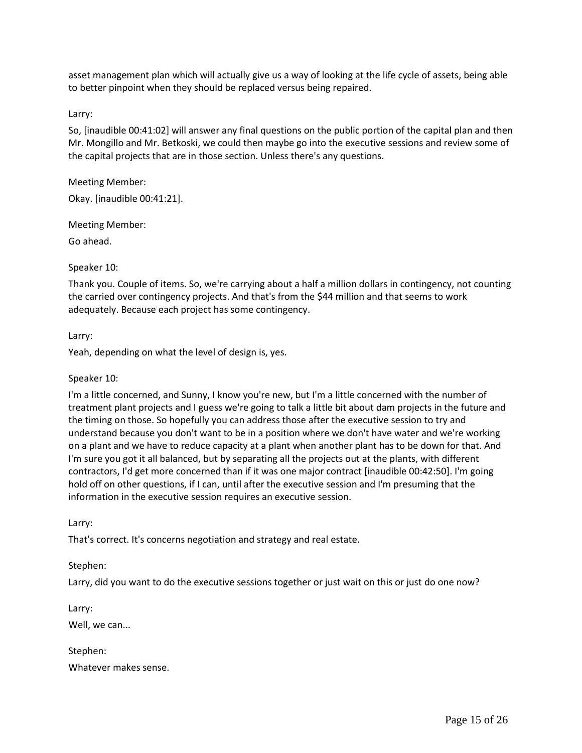asset management plan which will actually give us a way of looking at the life cycle of assets, being able to better pinpoint when they should be replaced versus being repaired.

### Larry:

So, [inaudible 00:41:02] will answer any final questions on the public portion of the capital plan and then Mr. Mongillo and Mr. Betkoski, we could then maybe go into the executive sessions and review some of the capital projects that are in those section. Unless there's any questions.

#### Meeting Member:

Okay. [inaudible 00:41:21].

Meeting Member:

Go ahead.

#### Speaker 10:

Thank you. Couple of items. So, we're carrying about a half a million dollars in contingency, not counting the carried over contingency projects. And that's from the \$44 million and that seems to work adequately. Because each project has some contingency.

#### Larry:

Yeah, depending on what the level of design is, yes.

#### Speaker 10:

I'm a little concerned, and Sunny, I know you're new, but I'm a little concerned with the number of treatment plant projects and I guess we're going to talk a little bit about dam projects in the future and the timing on those. So hopefully you can address those after the executive session to try and understand because you don't want to be in a position where we don't have water and we're working on a plant and we have to reduce capacity at a plant when another plant has to be down for that. And I'm sure you got it all balanced, but by separating all the projects out at the plants, with different contractors, I'd get more concerned than if it was one major contract [inaudible 00:42:50]. I'm going hold off on other questions, if I can, until after the executive session and I'm presuming that the information in the executive session requires an executive session.

Larry:

That's correct. It's concerns negotiation and strategy and real estate.

### Stephen:

Larry, did you want to do the executive sessions together or just wait on this or just do one now?

Larry: Well, we can...

Stephen: Whatever makes sense.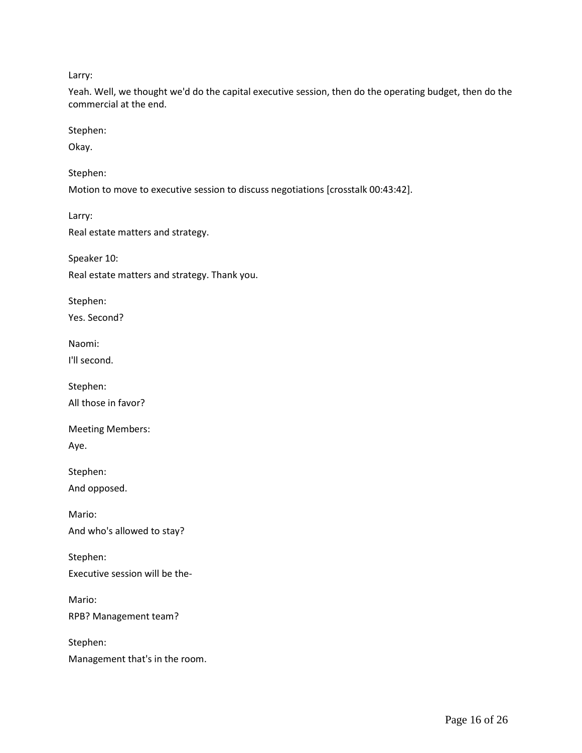Larry:

Yeah. Well, we thought we'd do the capital executive session, then do the operating budget, then do the commercial at the end.

Stephen:

Okay.

Stephen:

Motion to move to executive session to discuss negotiations [crosstalk 00:43:42].

Larry:

Real estate matters and strategy.

Speaker 10: Real estate matters and strategy. Thank you.

Stephen:

Yes. Second?

Naomi:

I'll second.

Stephen: All those in favor?

Meeting Members:

Aye.

Stephen:

And opposed.

Mario: And who's allowed to stay?

Stephen: Executive session will be the-

Mario: RPB? Management team?

Stephen: Management that's in the room.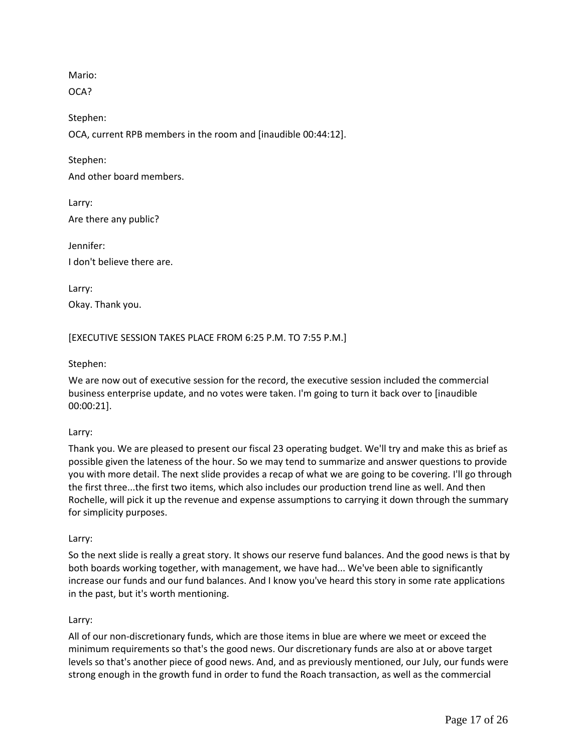Mario:

OCA?

Stephen: OCA, current RPB members in the room and [inaudible 00:44:12].

Stephen:

And other board members.

Larry: Are there any public?

Jennifer: I don't believe there are.

Larry: Okay. Thank you.

[EXECUTIVE SESSION TAKES PLACE FROM 6:25 P.M. TO 7:55 P.M.]

# Stephen:

We are now out of executive session for the record, the executive session included the commercial business enterprise update, and no votes were taken. I'm going to turn it back over to [inaudible 00:00:21].

# Larry:

Thank you. We are pleased to present our fiscal 23 operating budget. We'll try and make this as brief as possible given the lateness of the hour. So we may tend to summarize and answer questions to provide you with more detail. The next slide provides a recap of what we are going to be covering. I'll go through the first three...the first two items, which also includes our production trend line as well. And then Rochelle, will pick it up the revenue and expense assumptions to carrying it down through the summary for simplicity purposes.

### Larry:

So the next slide is really a great story. It shows our reserve fund balances. And the good news is that by both boards working together, with management, we have had... We've been able to significantly increase our funds and our fund balances. And I know you've heard this story in some rate applications in the past, but it's worth mentioning.

### Larry:

All of our non-discretionary funds, which are those items in blue are where we meet or exceed the minimum requirements so that's the good news. Our discretionary funds are also at or above target levels so that's another piece of good news. And, and as previously mentioned, our July, our funds were strong enough in the growth fund in order to fund the Roach transaction, as well as the commercial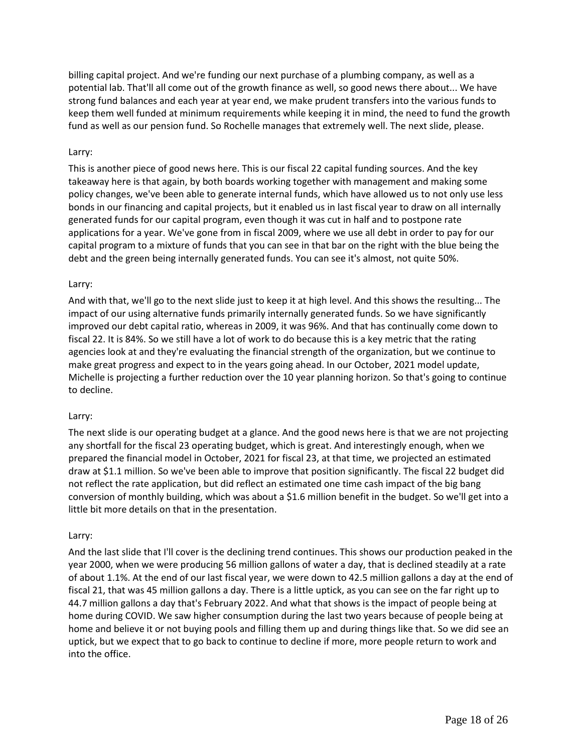billing capital project. And we're funding our next purchase of a plumbing company, as well as a potential lab. That'll all come out of the growth finance as well, so good news there about... We have strong fund balances and each year at year end, we make prudent transfers into the various funds to keep them well funded at minimum requirements while keeping it in mind, the need to fund the growth fund as well as our pension fund. So Rochelle manages that extremely well. The next slide, please.

## Larry:

This is another piece of good news here. This is our fiscal 22 capital funding sources. And the key takeaway here is that again, by both boards working together with management and making some policy changes, we've been able to generate internal funds, which have allowed us to not only use less bonds in our financing and capital projects, but it enabled us in last fiscal year to draw on all internally generated funds for our capital program, even though it was cut in half and to postpone rate applications for a year. We've gone from in fiscal 2009, where we use all debt in order to pay for our capital program to a mixture of funds that you can see in that bar on the right with the blue being the debt and the green being internally generated funds. You can see it's almost, not quite 50%.

# Larry:

And with that, we'll go to the next slide just to keep it at high level. And this shows the resulting... The impact of our using alternative funds primarily internally generated funds. So we have significantly improved our debt capital ratio, whereas in 2009, it was 96%. And that has continually come down to fiscal 22. It is 84%. So we still have a lot of work to do because this is a key metric that the rating agencies look at and they're evaluating the financial strength of the organization, but we continue to make great progress and expect to in the years going ahead. In our October, 2021 model update, Michelle is projecting a further reduction over the 10 year planning horizon. So that's going to continue to decline.

### Larry:

The next slide is our operating budget at a glance. And the good news here is that we are not projecting any shortfall for the fiscal 23 operating budget, which is great. And interestingly enough, when we prepared the financial model in October, 2021 for fiscal 23, at that time, we projected an estimated draw at \$1.1 million. So we've been able to improve that position significantly. The fiscal 22 budget did not reflect the rate application, but did reflect an estimated one time cash impact of the big bang conversion of monthly building, which was about a \$1.6 million benefit in the budget. So we'll get into a little bit more details on that in the presentation.

### Larry:

And the last slide that I'll cover is the declining trend continues. This shows our production peaked in the year 2000, when we were producing 56 million gallons of water a day, that is declined steadily at a rate of about 1.1%. At the end of our last fiscal year, we were down to 42.5 million gallons a day at the end of fiscal 21, that was 45 million gallons a day. There is a little uptick, as you can see on the far right up to 44.7 million gallons a day that's February 2022. And what that shows is the impact of people being at home during COVID. We saw higher consumption during the last two years because of people being at home and believe it or not buying pools and filling them up and during things like that. So we did see an uptick, but we expect that to go back to continue to decline if more, more people return to work and into the office.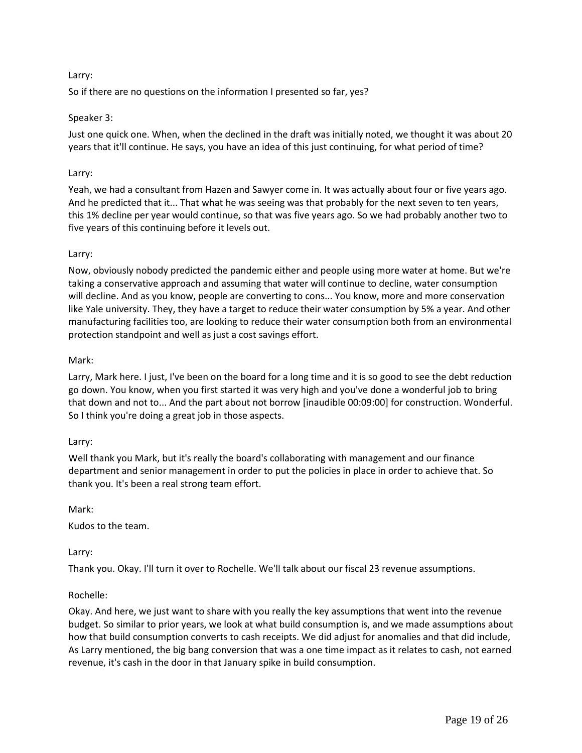# Larry:

So if there are no questions on the information I presented so far, yes?

## Speaker 3:

Just one quick one. When, when the declined in the draft was initially noted, we thought it was about 20 years that it'll continue. He says, you have an idea of this just continuing, for what period of time?

## Larry:

Yeah, we had a consultant from Hazen and Sawyer come in. It was actually about four or five years ago. And he predicted that it... That what he was seeing was that probably for the next seven to ten years, this 1% decline per year would continue, so that was five years ago. So we had probably another two to five years of this continuing before it levels out.

# Larry:

Now, obviously nobody predicted the pandemic either and people using more water at home. But we're taking a conservative approach and assuming that water will continue to decline, water consumption will decline. And as you know, people are converting to cons... You know, more and more conservation like Yale university. They, they have a target to reduce their water consumption by 5% a year. And other manufacturing facilities too, are looking to reduce their water consumption both from an environmental protection standpoint and well as just a cost savings effort.

### Mark:

Larry, Mark here. I just, I've been on the board for a long time and it is so good to see the debt reduction go down. You know, when you first started it was very high and you've done a wonderful job to bring that down and not to... And the part about not borrow [inaudible 00:09:00] for construction. Wonderful. So I think you're doing a great job in those aspects.

### Larry:

Well thank you Mark, but it's really the board's collaborating with management and our finance department and senior management in order to put the policies in place in order to achieve that. So thank you. It's been a real strong team effort.

Mark:

Kudos to the team.

# Larry:

Thank you. Okay. I'll turn it over to Rochelle. We'll talk about our fiscal 23 revenue assumptions.

### Rochelle:

Okay. And here, we just want to share with you really the key assumptions that went into the revenue budget. So similar to prior years, we look at what build consumption is, and we made assumptions about how that build consumption converts to cash receipts. We did adjust for anomalies and that did include, As Larry mentioned, the big bang conversion that was a one time impact as it relates to cash, not earned revenue, it's cash in the door in that January spike in build consumption.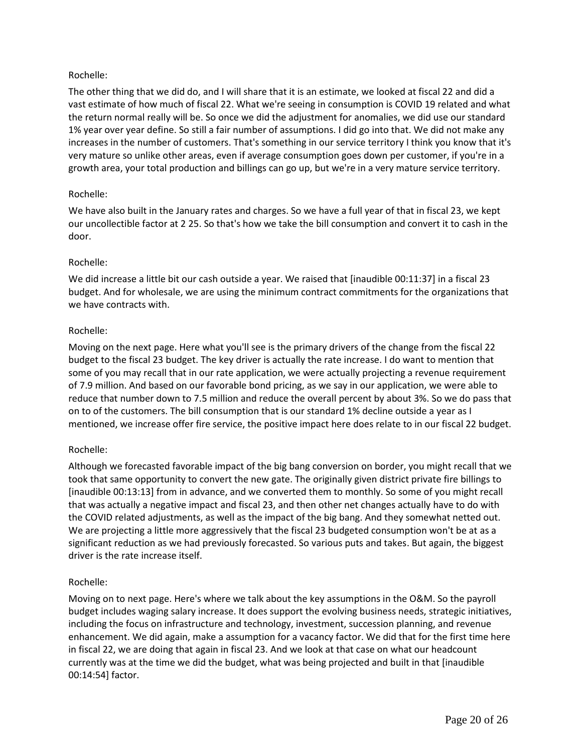The other thing that we did do, and I will share that it is an estimate, we looked at fiscal 22 and did a vast estimate of how much of fiscal 22. What we're seeing in consumption is COVID 19 related and what the return normal really will be. So once we did the adjustment for anomalies, we did use our standard 1% year over year define. So still a fair number of assumptions. I did go into that. We did not make any increases in the number of customers. That's something in our service territory I think you know that it's very mature so unlike other areas, even if average consumption goes down per customer, if you're in a growth area, your total production and billings can go up, but we're in a very mature service territory.

# Rochelle:

We have also built in the January rates and charges. So we have a full year of that in fiscal 23, we kept our uncollectible factor at 2 25. So that's how we take the bill consumption and convert it to cash in the door.

# Rochelle:

We did increase a little bit our cash outside a year. We raised that [inaudible 00:11:37] in a fiscal 23 budget. And for wholesale, we are using the minimum contract commitments for the organizations that we have contracts with.

# Rochelle:

Moving on the next page. Here what you'll see is the primary drivers of the change from the fiscal 22 budget to the fiscal 23 budget. The key driver is actually the rate increase. I do want to mention that some of you may recall that in our rate application, we were actually projecting a revenue requirement of 7.9 million. And based on our favorable bond pricing, as we say in our application, we were able to reduce that number down to 7.5 million and reduce the overall percent by about 3%. So we do pass that on to of the customers. The bill consumption that is our standard 1% decline outside a year as I mentioned, we increase offer fire service, the positive impact here does relate to in our fiscal 22 budget.

# Rochelle:

Although we forecasted favorable impact of the big bang conversion on border, you might recall that we took that same opportunity to convert the new gate. The originally given district private fire billings to [inaudible 00:13:13] from in advance, and we converted them to monthly. So some of you might recall that was actually a negative impact and fiscal 23, and then other net changes actually have to do with the COVID related adjustments, as well as the impact of the big bang. And they somewhat netted out. We are projecting a little more aggressively that the fiscal 23 budgeted consumption won't be at as a significant reduction as we had previously forecasted. So various puts and takes. But again, the biggest driver is the rate increase itself.

### Rochelle:

Moving on to next page. Here's where we talk about the key assumptions in the O&M. So the payroll budget includes waging salary increase. It does support the evolving business needs, strategic initiatives, including the focus on infrastructure and technology, investment, succession planning, and revenue enhancement. We did again, make a assumption for a vacancy factor. We did that for the first time here in fiscal 22, we are doing that again in fiscal 23. And we look at that case on what our headcount currently was at the time we did the budget, what was being projected and built in that [inaudible 00:14:54] factor.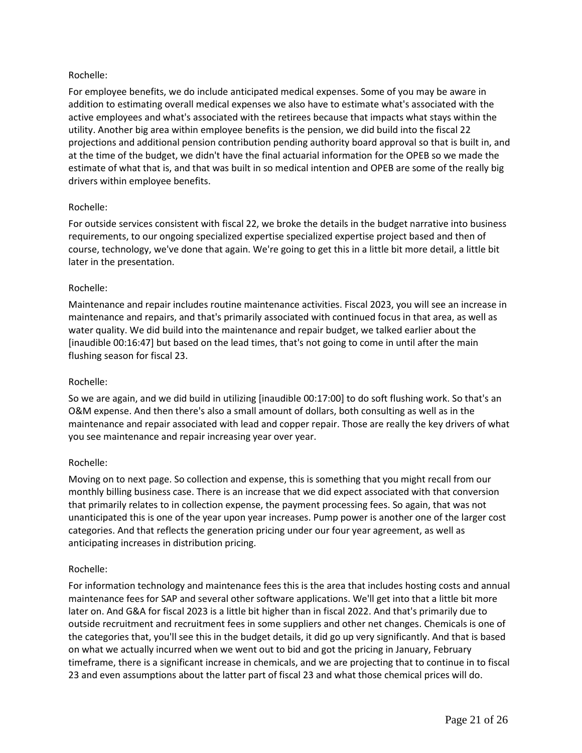For employee benefits, we do include anticipated medical expenses. Some of you may be aware in addition to estimating overall medical expenses we also have to estimate what's associated with the active employees and what's associated with the retirees because that impacts what stays within the utility. Another big area within employee benefits is the pension, we did build into the fiscal 22 projections and additional pension contribution pending authority board approval so that is built in, and at the time of the budget, we didn't have the final actuarial information for the OPEB so we made the estimate of what that is, and that was built in so medical intention and OPEB are some of the really big drivers within employee benefits.

# Rochelle:

For outside services consistent with fiscal 22, we broke the details in the budget narrative into business requirements, to our ongoing specialized expertise specialized expertise project based and then of course, technology, we've done that again. We're going to get this in a little bit more detail, a little bit later in the presentation.

### Rochelle:

Maintenance and repair includes routine maintenance activities. Fiscal 2023, you will see an increase in maintenance and repairs, and that's primarily associated with continued focus in that area, as well as water quality. We did build into the maintenance and repair budget, we talked earlier about the [inaudible 00:16:47] but based on the lead times, that's not going to come in until after the main flushing season for fiscal 23.

### Rochelle:

So we are again, and we did build in utilizing [inaudible 00:17:00] to do soft flushing work. So that's an O&M expense. And then there's also a small amount of dollars, both consulting as well as in the maintenance and repair associated with lead and copper repair. Those are really the key drivers of what you see maintenance and repair increasing year over year.

### Rochelle:

Moving on to next page. So collection and expense, this is something that you might recall from our monthly billing business case. There is an increase that we did expect associated with that conversion that primarily relates to in collection expense, the payment processing fees. So again, that was not unanticipated this is one of the year upon year increases. Pump power is another one of the larger cost categories. And that reflects the generation pricing under our four year agreement, as well as anticipating increases in distribution pricing.

### Rochelle:

For information technology and maintenance fees this is the area that includes hosting costs and annual maintenance fees for SAP and several other software applications. We'll get into that a little bit more later on. And G&A for fiscal 2023 is a little bit higher than in fiscal 2022. And that's primarily due to outside recruitment and recruitment fees in some suppliers and other net changes. Chemicals is one of the categories that, you'll see this in the budget details, it did go up very significantly. And that is based on what we actually incurred when we went out to bid and got the pricing in January, February timeframe, there is a significant increase in chemicals, and we are projecting that to continue in to fiscal 23 and even assumptions about the latter part of fiscal 23 and what those chemical prices will do.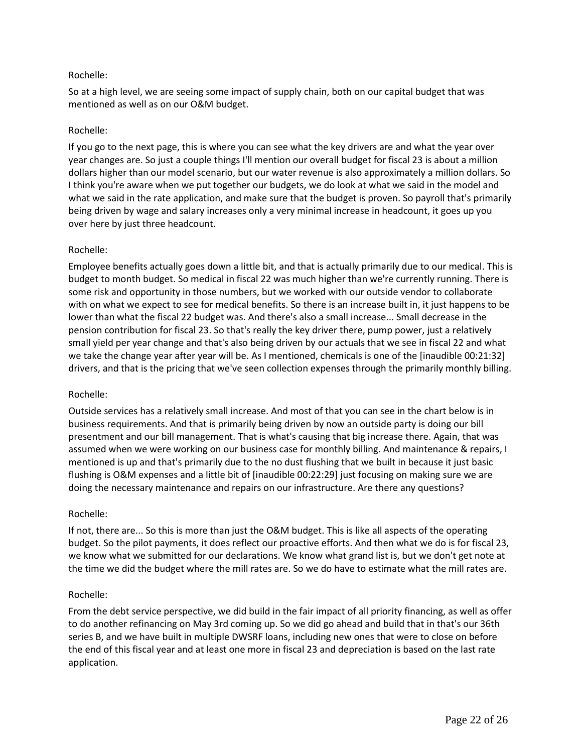So at a high level, we are seeing some impact of supply chain, both on our capital budget that was mentioned as well as on our O&M budget.

## Rochelle:

If you go to the next page, this is where you can see what the key drivers are and what the year over year changes are. So just a couple things I'll mention our overall budget for fiscal 23 is about a million dollars higher than our model scenario, but our water revenue is also approximately a million dollars. So I think you're aware when we put together our budgets, we do look at what we said in the model and what we said in the rate application, and make sure that the budget is proven. So payroll that's primarily being driven by wage and salary increases only a very minimal increase in headcount, it goes up you over here by just three headcount.

### Rochelle:

Employee benefits actually goes down a little bit, and that is actually primarily due to our medical. This is budget to month budget. So medical in fiscal 22 was much higher than we're currently running. There is some risk and opportunity in those numbers, but we worked with our outside vendor to collaborate with on what we expect to see for medical benefits. So there is an increase built in, it just happens to be lower than what the fiscal 22 budget was. And there's also a small increase... Small decrease in the pension contribution for fiscal 23. So that's really the key driver there, pump power, just a relatively small yield per year change and that's also being driven by our actuals that we see in fiscal 22 and what we take the change year after year will be. As I mentioned, chemicals is one of the [inaudible 00:21:32] drivers, and that is the pricing that we've seen collection expenses through the primarily monthly billing.

### Rochelle:

Outside services has a relatively small increase. And most of that you can see in the chart below is in business requirements. And that is primarily being driven by now an outside party is doing our bill presentment and our bill management. That is what's causing that big increase there. Again, that was assumed when we were working on our business case for monthly billing. And maintenance & repairs, I mentioned is up and that's primarily due to the no dust flushing that we built in because it just basic flushing is O&M expenses and a little bit of [inaudible 00:22:29] just focusing on making sure we are doing the necessary maintenance and repairs on our infrastructure. Are there any questions?

### Rochelle:

If not, there are... So this is more than just the O&M budget. This is like all aspects of the operating budget. So the pilot payments, it does reflect our proactive efforts. And then what we do is for fiscal 23, we know what we submitted for our declarations. We know what grand list is, but we don't get note at the time we did the budget where the mill rates are. So we do have to estimate what the mill rates are.

### Rochelle:

From the debt service perspective, we did build in the fair impact of all priority financing, as well as offer to do another refinancing on May 3rd coming up. So we did go ahead and build that in that's our 36th series B, and we have built in multiple DWSRF loans, including new ones that were to close on before the end of this fiscal year and at least one more in fiscal 23 and depreciation is based on the last rate application.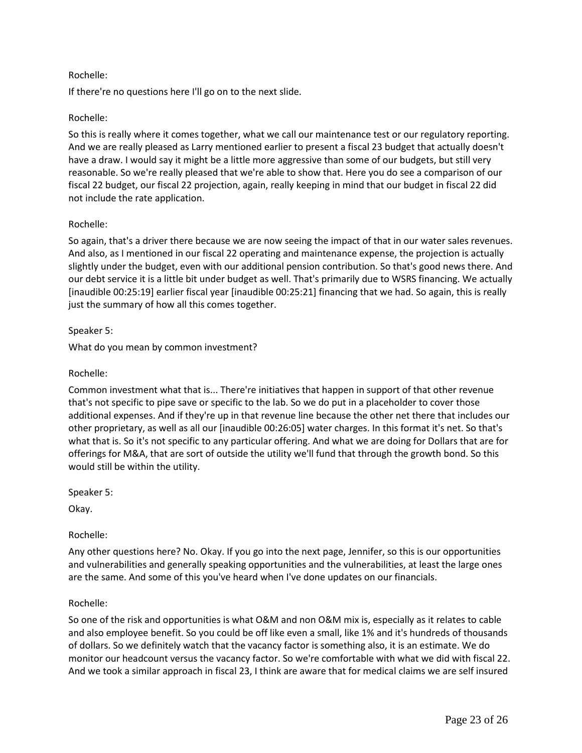If there're no questions here I'll go on to the next slide.

## Rochelle:

So this is really where it comes together, what we call our maintenance test or our regulatory reporting. And we are really pleased as Larry mentioned earlier to present a fiscal 23 budget that actually doesn't have a draw. I would say it might be a little more aggressive than some of our budgets, but still very reasonable. So we're really pleased that we're able to show that. Here you do see a comparison of our fiscal 22 budget, our fiscal 22 projection, again, really keeping in mind that our budget in fiscal 22 did not include the rate application.

### Rochelle:

So again, that's a driver there because we are now seeing the impact of that in our water sales revenues. And also, as I mentioned in our fiscal 22 operating and maintenance expense, the projection is actually slightly under the budget, even with our additional pension contribution. So that's good news there. And our debt service it is a little bit under budget as well. That's primarily due to WSRS financing. We actually [inaudible 00:25:19] earlier fiscal year [inaudible 00:25:21] financing that we had. So again, this is really just the summary of how all this comes together.

# Speaker 5:

What do you mean by common investment?

## Rochelle:

Common investment what that is... There're initiatives that happen in support of that other revenue that's not specific to pipe save or specific to the lab. So we do put in a placeholder to cover those additional expenses. And if they're up in that revenue line because the other net there that includes our other proprietary, as well as all our [inaudible 00:26:05] water charges. In this format it's net. So that's what that is. So it's not specific to any particular offering. And what we are doing for Dollars that are for offerings for M&A, that are sort of outside the utility we'll fund that through the growth bond. So this would still be within the utility.

Speaker 5:

Okay.

### Rochelle:

Any other questions here? No. Okay. If you go into the next page, Jennifer, so this is our opportunities and vulnerabilities and generally speaking opportunities and the vulnerabilities, at least the large ones are the same. And some of this you've heard when I've done updates on our financials.

### Rochelle:

So one of the risk and opportunities is what O&M and non O&M mix is, especially as it relates to cable and also employee benefit. So you could be off like even a small, like 1% and it's hundreds of thousands of dollars. So we definitely watch that the vacancy factor is something also, it is an estimate. We do monitor our headcount versus the vacancy factor. So we're comfortable with what we did with fiscal 22. And we took a similar approach in fiscal 23, I think are aware that for medical claims we are self insured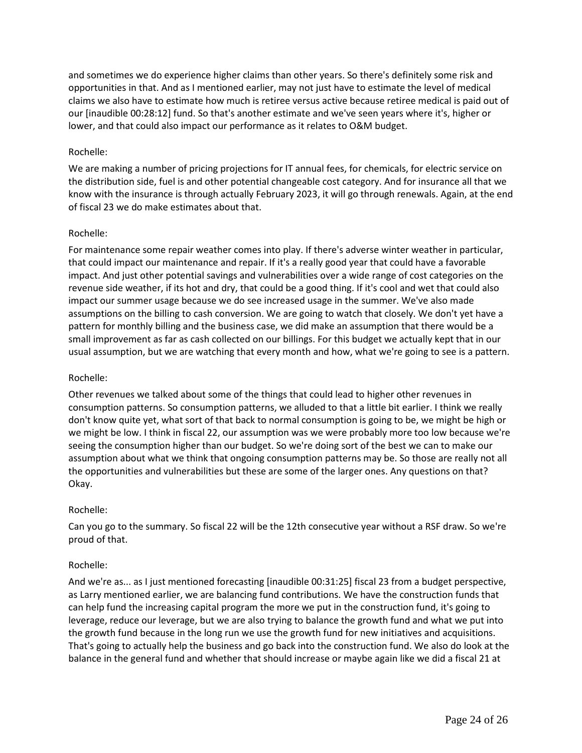and sometimes we do experience higher claims than other years. So there's definitely some risk and opportunities in that. And as I mentioned earlier, may not just have to estimate the level of medical claims we also have to estimate how much is retiree versus active because retiree medical is paid out of our [inaudible 00:28:12] fund. So that's another estimate and we've seen years where it's, higher or lower, and that could also impact our performance as it relates to O&M budget.

### Rochelle:

We are making a number of pricing projections for IT annual fees, for chemicals, for electric service on the distribution side, fuel is and other potential changeable cost category. And for insurance all that we know with the insurance is through actually February 2023, it will go through renewals. Again, at the end of fiscal 23 we do make estimates about that.

# Rochelle:

For maintenance some repair weather comes into play. If there's adverse winter weather in particular, that could impact our maintenance and repair. If it's a really good year that could have a favorable impact. And just other potential savings and vulnerabilities over a wide range of cost categories on the revenue side weather, if its hot and dry, that could be a good thing. If it's cool and wet that could also impact our summer usage because we do see increased usage in the summer. We've also made assumptions on the billing to cash conversion. We are going to watch that closely. We don't yet have a pattern for monthly billing and the business case, we did make an assumption that there would be a small improvement as far as cash collected on our billings. For this budget we actually kept that in our usual assumption, but we are watching that every month and how, what we're going to see is a pattern.

### Rochelle:

Other revenues we talked about some of the things that could lead to higher other revenues in consumption patterns. So consumption patterns, we alluded to that a little bit earlier. I think we really don't know quite yet, what sort of that back to normal consumption is going to be, we might be high or we might be low. I think in fiscal 22, our assumption was we were probably more too low because we're seeing the consumption higher than our budget. So we're doing sort of the best we can to make our assumption about what we think that ongoing consumption patterns may be. So those are really not all the opportunities and vulnerabilities but these are some of the larger ones. Any questions on that? Okay.

### Rochelle:

Can you go to the summary. So fiscal 22 will be the 12th consecutive year without a RSF draw. So we're proud of that.

### Rochelle:

And we're as... as I just mentioned forecasting [inaudible 00:31:25] fiscal 23 from a budget perspective, as Larry mentioned earlier, we are balancing fund contributions. We have the construction funds that can help fund the increasing capital program the more we put in the construction fund, it's going to leverage, reduce our leverage, but we are also trying to balance the growth fund and what we put into the growth fund because in the long run we use the growth fund for new initiatives and acquisitions. That's going to actually help the business and go back into the construction fund. We also do look at the balance in the general fund and whether that should increase or maybe again like we did a fiscal 21 at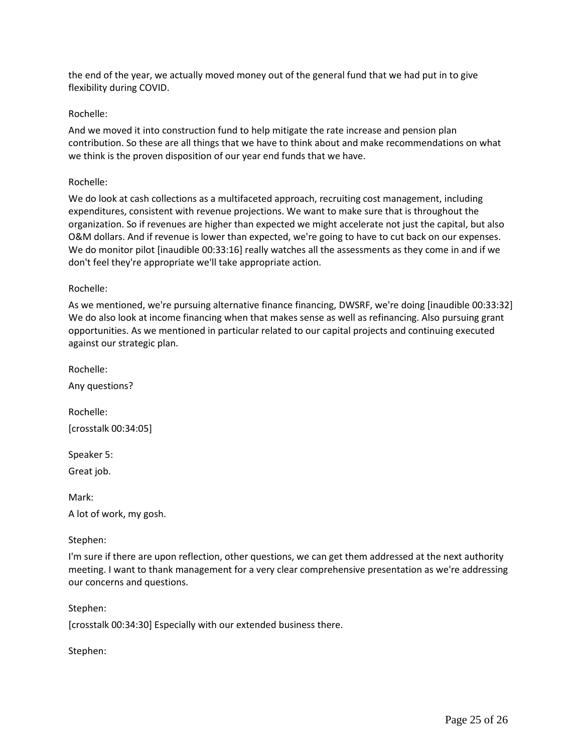the end of the year, we actually moved money out of the general fund that we had put in to give flexibility during COVID.

### Rochelle:

And we moved it into construction fund to help mitigate the rate increase and pension plan contribution. So these are all things that we have to think about and make recommendations on what we think is the proven disposition of our year end funds that we have.

#### Rochelle:

We do look at cash collections as a multifaceted approach, recruiting cost management, including expenditures, consistent with revenue projections. We want to make sure that is throughout the organization. So if revenues are higher than expected we might accelerate not just the capital, but also O&M dollars. And if revenue is lower than expected, we're going to have to cut back on our expenses. We do monitor pilot [inaudible 00:33:16] really watches all the assessments as they come in and if we don't feel they're appropriate we'll take appropriate action.

#### Rochelle:

As we mentioned, we're pursuing alternative finance financing, DWSRF, we're doing [inaudible 00:33:32] We do also look at income financing when that makes sense as well as refinancing. Also pursuing grant opportunities. As we mentioned in particular related to our capital projects and continuing executed against our strategic plan.

Rochelle:

Any questions?

Rochelle: [crosstalk 00:34:05]

Speaker 5:

Great job.

Mark:

A lot of work, my gosh.

### Stephen:

I'm sure if there are upon reflection, other questions, we can get them addressed at the next authority meeting. I want to thank management for a very clear comprehensive presentation as we're addressing our concerns and questions.

#### Stephen:

[crosstalk 00:34:30] Especially with our extended business there.

Stephen: